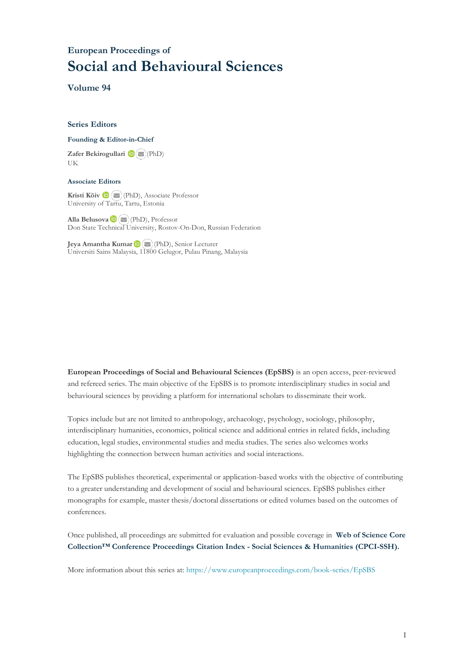# **European Proceedings of Social and Behavioural Sciences**

**Volume 94**

#### **Series Editors**

#### **Founding & Editor-in-Chief**

**Zafer Bekirogullari**(PhD) UK

#### **Associate Editors**

**Kristi Köiv** (PhD), Associate Professor University of Tartu, Tartu, Estonia

**Alla Belusova**(PhD), Professor Don State Technical University, Rostov-On-Don, Russian Federation

**Jeya Amantha Kumar**(PhD), Senior Lecturer Universiti Sains Malaysia, [1180](mailto:amantha@usm.my)0 Gelugor, Pulau Pinang, Malaysia

**European Proceedings of Social and Behavioural Sciences (EpSBS)** is an open access, peer-reviewed and refereed series. The main objective of the EpSBS is to promote interdisciplinary studies in social and behavioural sciences by providing a platform for international scholars to disseminate their work.

Topics include but are not limited to anthropology, archaeology, psychology, sociology, philosophy, interdisciplinary humanities, economics, political science and additional entries in related fields, including education, legal studies, environmental studies and media studies. The series also welcomes works highlighting the connection between human activities and social interactions.

The EpSBS publishes theoretical, experimental or application-based works with the objective of contributing to a greater understanding and development of social and behavioural sciences. EpSBS publishes either monographs for example, master thesis/doctoral dissertations or edited volumes based on the outcomes of conferences.

Once published, all proceedings are submitted for evaluation and possible coverage in **Web of [Science](https://clarivate.com/webofsciencegroup/solutions/webofscience-cpci/) Core Collection™ Conference Proceedings Citation Index - Social Sciences & Humanities [\(CPCI-SSH\).](https://clarivate.com/webofsciencegroup/solutions/webofscience-cpci/)**

More information about this series at[: https://www.europeanproceedings.com/book-series/EpSBS](https://www.europeanproceedings.com/book-series/EpSBS)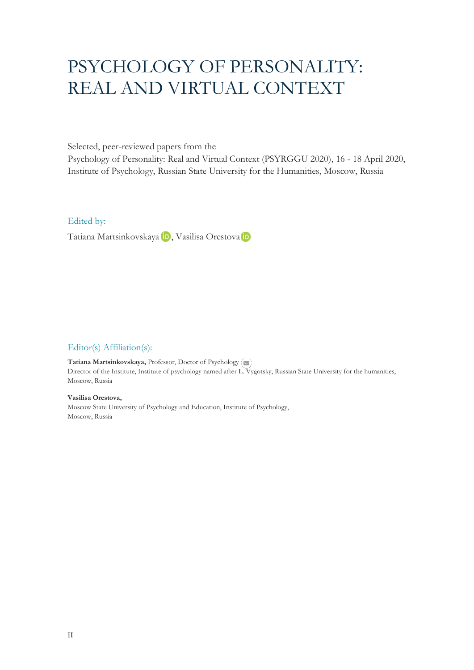# PSYCHOLOGY OF PERSONALITY: REAL AND VIRTUAL CONTEXT

Selected, peer-reviewed papers from the

Psychology of Personality: Real and Virtual Context (PSYRGGU 2020), 16 - 18 April 2020, Institute of Psychology, Russian State University for the Humanities, Moscow, Russia

Edited by:

TatianaMartsinkovskaya iD, Vasilisa Orestova iD

# Editor(s) Affiliation(s):

**Tatiana Martsinkovskaya,** Professor, Doctor of Psychology Director of the Institute, Institute of psychology named after [L. Vy](mailto:mailto:tdmartsin@gmail.com)gotsky, Russian State University for the humanities, Moscow, Russia

**Vasilisa Orestova,**  Moscow State University of Psychology and Education, Institute of Psychology, Moscow, Russia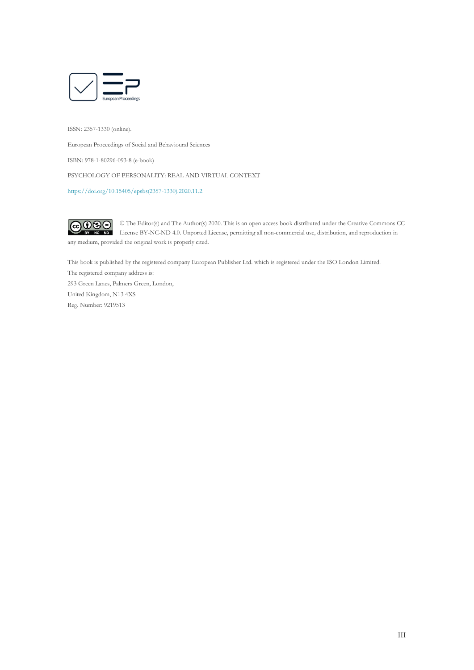

ISSN: 2357-1330 (online).

European Proceedings of Social and Behavioural Sciences

ISBN: 978-1-80296-093-8 (e-book)

PSYCHOLOGY OF PERSONALITY: REAL AND VIRTUAL CONTEXT

[https://doi.org/10.15405/epsbs\(2357-1330\).2020.11.2](https://doi.org/10.15405/epsbs(2357-1330).2020.11.2)

 $\bigcirc$  090 © The Editor(s) and The Author(s) 2020. This is an open access book distributed under the Creative Commons CC License BY-NC-ND 4.0. Unported License, permitting all non-commercial use, distribution, and reproduction in any medium, provided the original work is properly cited.

This book is published by the registered company European Publisher Ltd. which is registered under the ISO London Limited.

The registered company address is: 293 Green Lanes, Palmers Green, London, United Kingdom, N13 4XS Reg. Number: 9219513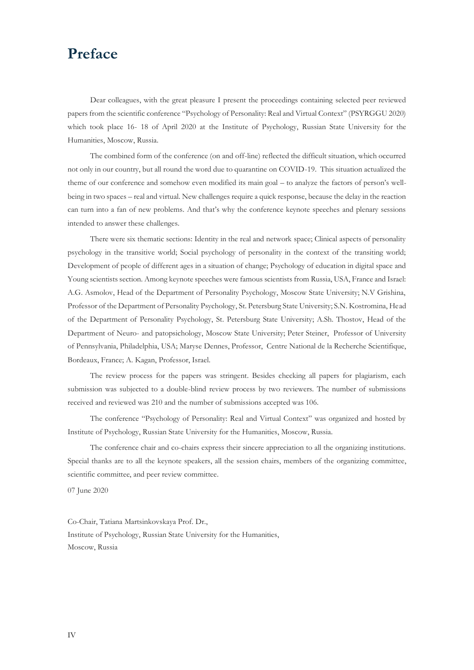# **Preface**

Dear colleagues, with the great pleasure I present the proceedings containing selected peer reviewed papers from the scientific conference "Psychology of Personality: Real and Virtual Context" (PSYRGGU 2020) which took place 16- 18 of April 2020 at the Institute of Psychology, Russian State University for the Humanities, Moscow, Russia.

The combined form of the conference (on and off-line) reflected the difficult situation, which occurred not only in our country, but all round the word due to quarantine on COVID-19. This situation actualized the theme of our conference and somehow even modified its main goal – to analyze the factors of person's wellbeing in two spaces – real and virtual. New challenges require a quick response, because the delay in the reaction can turn into a fan of new problems. And that's why the conference keynote speeches and plenary sessions intended to answer these challenges.

There were six thematic sections: Identity in the real and network space; Clinical aspects of personality psychology in the transitive world; Social psychology of personality in the context of the transiting world; Development of people of different ages in a situation of change; Psychology of education in digital space and Young scientists section. Among keynote speeches were famous scientists from Russia, USA, France and Israel: A.G. Asmolov, Head of the Department of Personality Psychology, Moscow State University; N.V Grishina, Professor of the Department of Personality Psychology, St. Petersburg State University; S.N. Kostromina, Head of the Department of Personality Psychology, St. Petersburg State University; A.Sh. Thostov, Head of the Department of Neuro- and patopsichology, Moscow State University; Peter Steiner, Professor of University of Pennsylvania, Philadelphia, USA; Maryse Dennes, Professor, Centre National de la Recherche Scientifique, Bordeaux, France; A. Kagan, Professor, Israel.

The review process for the papers was stringent. Besides checking all papers for plagiarism, each submission was subjected to a double-blind review process by two reviewers. The number of submissions received and reviewed was 210 and the number of submissions accepted was 106.

The conference "Psychology of Personality: Real and Virtual Context" was organized and hosted by Institute of Psychology, Russian State University for the Humanities, Moscow, Russia.

The conference chair and co-chairs express their sincere appreciation to all the organizing institutions. Special thanks are to all the keynote speakers, all the session chairs, members of the organizing committee, scientific committee, and peer review committee.

07 June 2020

Co-Chair, Tatiana Martsinkovskaya Prof. Dr., Institute of Psychology, Russian State University for the Humanities, Moscow, Russia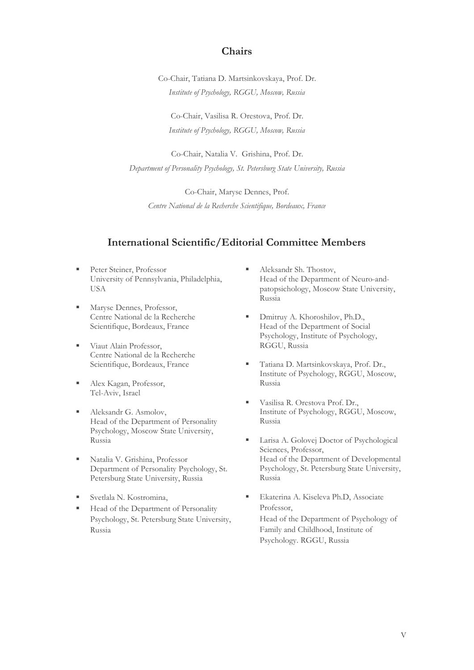# **Chairs**

Co-Chair, Tatiana D. Martsinkovskaya, Prof. Dr. *Institute of Psychology, RGGU, Moscow, Russia*

Co-Chair, Vasilisa R. Orestova, Prof. Dr. *Institute of Psychology, RGGU, Moscow, Russia*

Co-Chair, Natalia V. Grishina, Prof. Dr. *Department of Personality Psychology, St. Petersburg State University, Russia*

Co-Chair, Maryse Dennes, Prof. *Centre National de la Recherche Scientifique, Bordeaux, France*

# **International Scientific/Editorial Committee Members**

- **Peter Steiner, Professor** University of Pennsylvania, Philadelphia, USA
- Maryse Dennes, Professor, Centre National de la Recherche Scientifique, Bordeaux, France
- **■** Viaut Alain Professor, Centre National de la Recherche Scientifique, Bordeaux, France
- Alex Kagan, Professor, Tel-Aviv, Israel
- Aleksandr G. Asmolov, Head of the Department of Personality Psychology, Moscow State University, Russia
- Natalia V. Grishina, Professor Department of Personality Psychology, St. Petersburg State University, Russia
- Svetlala N. Kostromina,
- Head of the Department of Personality Psychology, St. Petersburg State University, Russia
- Aleksandr Sh. Thostov, Head of the Department of Neuro-andpatopsichology, Moscow State University, Russia
- Dmitruy A. Khoroshilov, Ph.D., Head of the Department of Social Psychology, Institute of Psychology, RGGU, Russia
- Tatiana D. Martsinkovskaya, Prof. Dr., Institute of Psychology, RGGU, Moscow, Russia
- Vasilisa R. Orestova Prof. Dr., Institute of Psychology, RGGU, Moscow, Russia
- Larisa A. Golovej Doctor of Psychological Sciences, Professor, Head of the Department of Developmental Psychology, St. Petersburg State University, Russia
- Ekaterina A. Kiseleva Ph.D. Associate Professor, Head of the Department of Psychology of Family and Childhood, Institute of Psychology. RGGU, Russia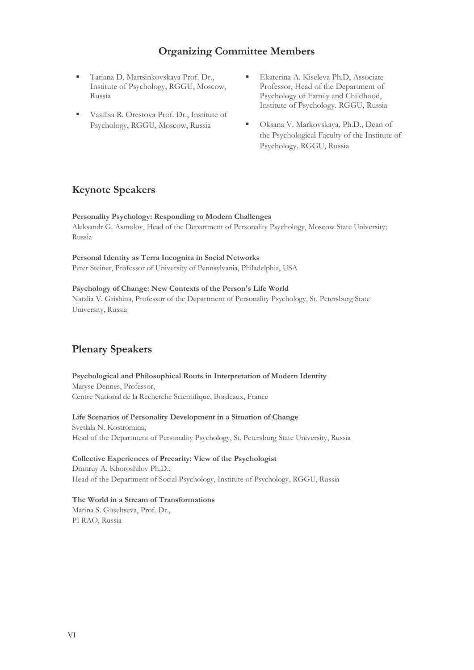# **Organizing Committee Members**

- Tatiana D. Martsinkovskaya Prof. Dr., Institute of Psychology, RGGU, Moscow, Russia
- Vasilisa R. Orestova Prof. Dr., Institute of Psychology, RGGU, Moscow, Russia
- Ekaterina A. Kiseleva Ph.D, Associate Professor, Head of the Department of Psychology of Family and Childhood, Institute of Psychology. RGGU, Russia
- Oksana V. Markovskaya, Ph.D., Dean of the Psychological Faculty of the Institute of Psychology. RGGU, Russia

# **Keynote Speakers**

# **Personality Psychology: Responding to Modern Challenges**

Aleksandr G. Asmolov, Head of the Department of Personality Psychology, Moscow State University; Russia

# **Personal Identity as Terra Incognita in Social Networks**

Peter Steiner, Professor of University of Pennsylvania, Philadelphia, USA

# **Psychology of Change: New Contexts of the Person's Life World**

Natalia V. Grishina, Professor of the Department of Personality Psychology, St. Petersburg State University, Russia

# **Plenary Speakers**

# **Psychological and Philosophical Routs in Interpretation of Modern Identity** Maryse Dennes, Professor,

Centre National de la Recherche Scientifique, Bordeaux, France

# **Life Scenarios of Personality Development in a Situation of Change** Svetlala N. Kostromina, Head of the Department of Personality Psychology, St. Petersburg State University, Russia

# **Collective Experiences of Precarity: View of the Psychologist**  Dmitruy A. Khoroshilov Ph.D., Head of the Department of Social Psychology, Institute of Psychology, RGGU, Russia

# **The World in a Stream of Transformations**

Marina S. Guseltseva, Prof. Dr., PI RAO, Russia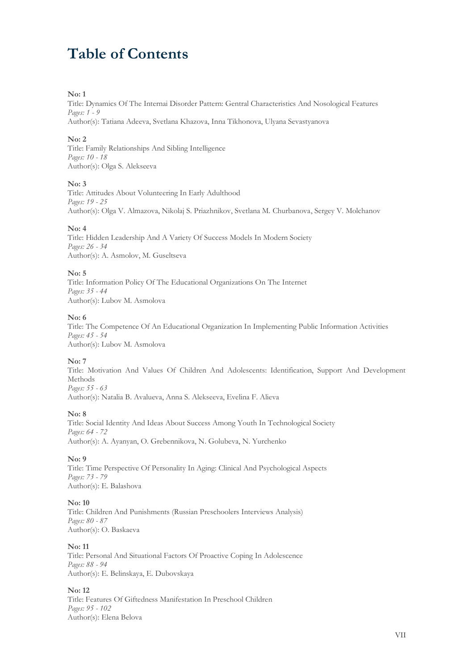# **Table of Contents**

### **No: 1**

Title: Dynamics Of The Internai Disorder Pattern: Gentral Characteristics And Nosological Features *Pages: 1 - 9* Author(s): Tatiana Adeeva, Svetlana Khazova, Inna Tikhonova, Ulyana Sevastyanova

### **No: 2**

Title: Family Relationships And Sibling Intelligence *Pages: 10 - 18* Author(s): Olga S. Alekseeva

#### **No: 3**

Title: Attitudes About Volunteering In Early Adulthood *Pages: 19 - 25* Author(s): Olga V. Almazova, Nikolaj S. Priazhnikov, Svetlana M. Churbanova, Sergey V. Molchanov

#### **No: 4**

Title: Hidden Leadership And A Variety Of Success Models In Modern Society *Pages: 26 - 34* Author(s): A. Asmolov, M. Guseltseva

#### **No: 5**

Title: Information Policy Of The Educational Organizations On The Internet *Pages: 35 - 44* Author(s): Lubov M. Asmolova

#### **No: 6**

Title: The Competence Of An Educational Organization In Implementing Public Information Activities *Pages: 45 - 54* Author(s): Lubov M. Asmolova

# **No: 7**

Title: Motivation And Values Of Children And Adolescents: Identification, Support And Development Methods *Pages: 55 - 63*

Author(s): Natalia B. Avalueva, Anna S. Alekseeva, Evelina F. Alieva

#### **No: 8**

Title: Social Identity And Ideas About Success Among Youth In Technological Society *Pages: 64 - 72* Author(s): A. Ayanyan, O. Grebennikova, N. Golubeva, N. Yurchenko

**No: 9**

Title: Time Perspective Of Personality In Aging: Clinical And Psychological Aspects *Pages: 73 - 79* Author(s): E. Balashova

# **No: 10**

Title: Children And Punishments (Russian Preschoolers Interviews Analysis) *Pages: 80 - 87* Author(s): O. Baskaeva

# **No: 11**

Title: Personal And Situational Factors Of Proactive Coping In Adolescence *Pages: 88 - 94* Author(s): E. Belinskaya, E. Dubovskaya

# **No: 12**

Title: Features Of Giftedness Manifestation In Preschool Children *Pages: 95 - 102* Author(s): Elena Belova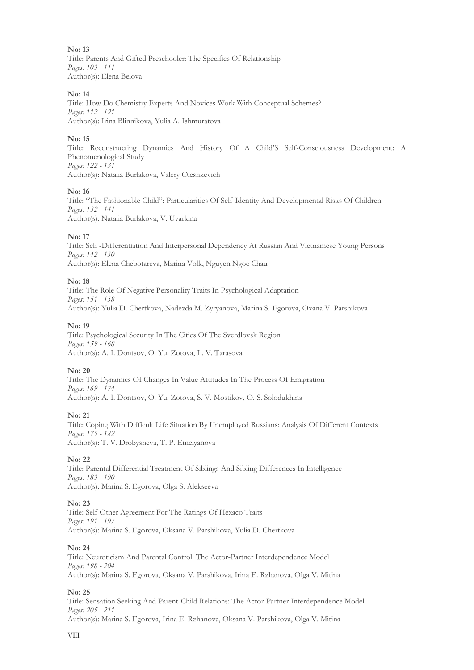**No: 13** Title: Parents And Gifted Preschooler: The Specifics Of Relationship *Pages: 103 - 111* Author(s): Elena Belova

#### **No: 14**

Title: How Do Chemistry Experts And Novices Work With Conceptual Schemes? *Pages: 112 - 121* Author(s): Irina Blinnikova, Yulia A. Ishmuratova

#### **No: 15**

Title: Reconstructing Dynamics And History Of A Child'S Self-Consciousness Development: A Phenomenological Study *Pages: 122 - 131* Author(s): Natalia Burlakova, Valery Oleshkevich

#### **No: 16**

Title: "The Fashionable Child": Particularities Of Self-Identity And Developmental Risks Of Children *Pages: 132 - 141* Author(s): Natalia Burlakova, V. Uvarkina

#### **No: 17**

Title: Self -Differentiation And Interpersonal Dependency At Russian And Vietnamese Young Persons *Pages: 142 - 150* Author(s): Elena Chebotareva, Marina Volk, Nguyen Ngoc Chau

#### **No: 18**

Title: The Role Of Negative Personality Traits In Psychological Adaptation *Pages: 151 - 158* Author(s): Yulia D. Chertkova, Nadezda M. Zyryanova, Marina S. Egorova, Oxana V. Parshikova

#### **No: 19**

Title: Psychological Security In The Cities Of The Sverdlovsk Region *Pages: 159 - 168* Author(s): A. I. Dontsov, O. Yu. Zotova, L. V. Tarasova

#### **No: 20**

Title: The Dynamics Of Changes In Value Attitudes In The Process Of Emigration *Pages: 169 - 174* Author(s): A. I. Dontsov, O. Yu. Zotova, S. V. Mostikov, O. S. Solodukhina

#### **No: 21**

Title: Coping With Difficult Life Situation By Unemployed Russians: Analysis Of Different Contexts *Pages: 175 - 182* Author(s): T. V. Drobysheva, T. P. Еmelyanova

# **No: 22**

Title: Parental Differential Treatment Of Siblings And Sibling Differences In Intelligence *Pages: 183 - 190* Author(s): Marina S. Egorova, Olga S. Alekseeva

# **No: 23**

Title: Self-Other Agreement For The Ratings Of Hexaco Traits *Pages: 191 - 197* Author(s): Marina S. Egorova, Oksana V. Parshikova, Yulia D. Chertkova

#### **No: 24**

Title: Neuroticism And Parental Control: The Actor-Partner Interdependence Model *Pages: 198 - 204* Author(s): Marina S. Egorova, Oksana V. Parshikova, Irina E. Rzhanova, Olga V. Mitina

#### **No: 25**

Title: Sensation Seeking And Parent-Child Relations: The Actor-Partner Interdependence Model *Pages: 205 - 211* Author(s): Marina S. Egorova, Irina E. Rzhanova, Oksana V. Parshikova, Olga V. Mitina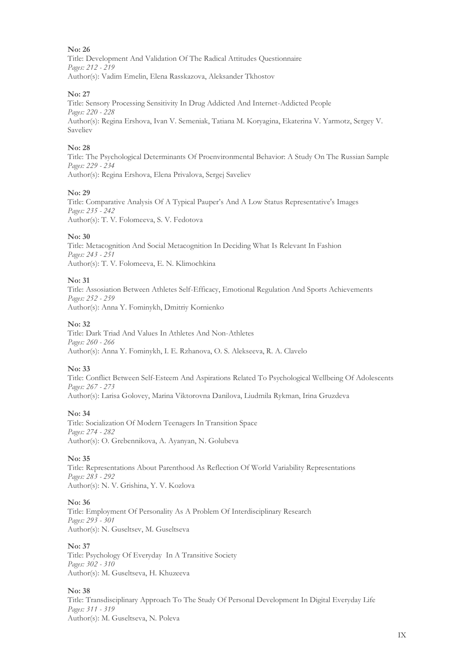Title: Development And Validation Of The Radical Attitudes Questionnaire *Pages: 212 - 219* Author(s): Vadim Emelin, Elena Rasskazova, Aleksander Tkhostov

### **No: 27**

Title: Sensory Processing Sensitivity In Drug Addicted And Internet-Addicted People *Pages: 220 - 228* Author(s): Regina Ershova, Ivan V. Semeniak, Tatiana M. Koryagina, Ekaterina V. Yarmotz, Sergey V. Saveliev

#### **No: 28**

Title: The Psychological Determinants Of Proenvironmental Behavior: A Study On The Russian Sample *Pages: 229 - 234* Author(s): Regina Ershova, Elena Privalova, Sergej Saveliev

#### **No: 29**

Title: Comparative Analysis Of A Typical Pauper's And A Low Status Representative's Images *Pages: 235 - 242* Author(s): T. V. Folomeeva, S. V. Fedotova

#### **No: 30**

Title: Metacognition And Social Metacognition In Deciding What Is Relevant In Fashion *Pages: 243 - 251* Author(s): T. V. Folomeeva, E. N. Klimochkina

#### **No: 31**

Title: Assosiation Between Athletes Self-Efficacy, Emotional Regulation And Sports Achievements *Pages: 252 - 259* Author(s): Anna Y. Fominykh, Dmitriy Kornienko

#### **No: 32**

Title: Dark Triad And Values In Athletes And Non-Athletes *Pages: 260 - 266* Author(s): Anna Y. Fominykh, I. E. Rzhanova, O. S. Alekseeva, R. A. Clavelo

# **No: 33**

Title: Conflict Between Self-Esteem And Aspirations Related To Psychological Wellbeing Of Adolescents *Pages: 267 - 273* Author(s): Larisa Golovey, Marina Viktorovna Danilova, Liudmila Rykman, Irina Gruzdeva

# **No: 34**

Title: Socialization Of Modern Teenagers In Transition Space *Pages: 274 - 282* Author(s): O. Grebennikova, A. Ayanyan, N. Golubeva

# **No: 35**

Title: Representations About Parenthood As Reflection Of World Variability Representations *Pages: 283 - 292* Author(s): N. V. Grishina, Y. V. Kozlova

# **No: 36**

Title: Employment Of Personality As A Problem Of Interdisciplinary Research *Pages: 293 - 301* Author(s): N. Guseltsev, M. Guseltseva

#### **No: 37**

Title: Psychology Of Everyday In A Transitive Society *Pages: 302 - 310* Author(s): M. Guseltseva, H. Khuzeeva

# **No: 38**

Title: Transdisciplinary Approach To The Study Of Personal Development In Digital Everyday Life *Pages: 311 - 319* Author(s): M. Guseltseva, N. Poleva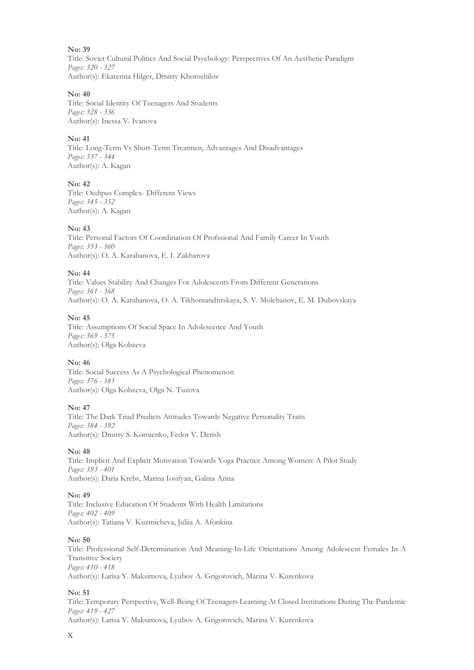Title: Soviet Cultural Politics And Social Psychology: Perspectives Of An Aesthetic Paradigm *Pages: 320 - 327* Author(s): Ekaterina Hilger, Dmitry Khoroshilov

### **No: 40**

Title: Social Identity Of Teenagers And Students *Pages: 328 - 336* Author(s): Inessa V. Ivanova

### **No: 41**

Title: Long-Term Vs Short-Term Treatmen, Advantages And Disadvantages *Pages: 337 - 344* Author(s): A. Kagan

#### **No: 42**

Title: Oedipus Complex- Different Views *Pages: 345 - 352* Author(s): A. Kagan

# **No: 43**

Title: Personal Factors Of Coordination Of Profssional And Family Career In Youth *Pages: 353 - 360* Author(s): O. A. Karabanova, E. I. Zakharova

#### **No: 44**

Title: Values Stability And Changes For Adolescents From Different Generations *Pages: 361 - 368* Author(s): O. A. Karabanova, O. A. Tikhomandritskaya, S. V. Molchanov, E. M. Dubovskaya

#### **No: 45**

Title: Assumptions Of Social Space In Adolescence And Youth *Pages: 369 - 375* Author(s): Olga Kobzeva

# **No: 46**

Title: Social Success As A Psychological Phenomenon *Pages: 376 - 383* Author(s): Olga Kobzeva, Olga N. Tuzova

#### **No: 47**

Title: The Dark Triad Predicts Attitudes Towards Negative Personality Traits *Pages: 384 - 392* Author(s): Dmitry S. Kornienko, Fedor V. Derish

# **No: 48**

Title: Implicit And Explicit Motivation Towards Yoga Practice Among Women: A Pilot Study *Pages: 393 - 401* Author(s): Daria Krebs, Marina Iosifyan, Galnia Arina

#### **No: 49**

Title: Inclusive Education Of Students With Health Limitations *Pages: 402 - 409* Author(s): Tatiana V. Kuzmicheva, Juliia A. Afonkina

#### **No: 50**

Title: Professional Self-Determination And Meaning-In-Life Orientations Among Adolescent Females In A Transitive Society *Pages: 410 - 418* Author(s): Larisa Y. Maksimova, Lyubov A. Grigorovich, Marina V. Kurenkova

#### **No: 51**

Title: Temporary Perspective, Well-Being Of Teenagers Learning At Closed Institutions During The Pandemic *Pages: 419 - 427* Author(s): Larisa Y. Maksimova, Lyubov A. Grigorovich, Marina V. Kurenkova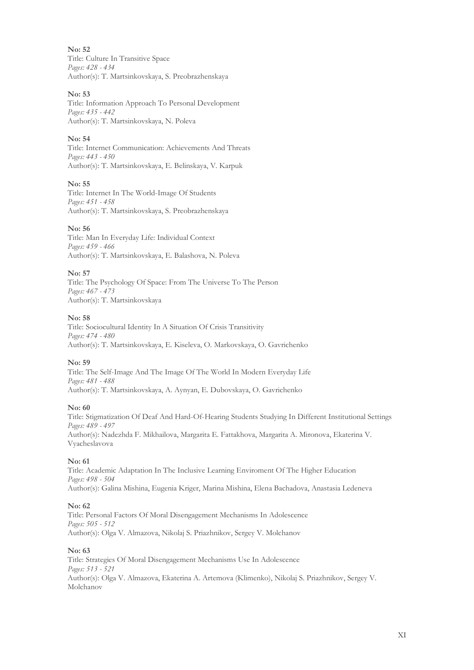Title: Culture In Transitive Space *Pages: 428 - 434* Author(s): T. Martsinkovskaya, S. Preobrazhenskaya

# **No: 53**

Title: Information Approach To Personal Development *Pages: 435 - 442* Author(s): T. Martsinkovskaya, N. Poleva

# **No: 54**

Title: Internet Communication: Achievements And Threats *Pages: 443 - 450* Author(s): T. Martsinkovskaya, E. Belinskaya, V. Karpuk

**No: 55**

Title: Internet In The World-Image Of Students *Pages: 451 - 458* Author(s): T. Martsinkovskaya, S. Preobrazhenskaya

# **No: 56**

Title: Man In Everyday Life: Individual Context *Pages: 459 - 466* Author(s): T. Martsinkovskaya, E. Balashova, N. Poleva

# **No: 57**

Title: The Psychology Of Space: From The Universe To The Person *Pages: 467 - 473* Author(s): T. Martsinkovskaya

# **No: 58**

Title: Sociocultural Identity In A Situation Of Crisis Transitivity *Pages: 474 - 480* Author(s): T. Martsinkovskaya, E. Kiseleva, O. Markovskaya, O. Gavrichenko

# **No: 59**

Title: The Self-Image And The Image Of The World In Modern Everyday Life *Pages: 481 - 488* Author(s): T. Martsinkovskaya, A. Aynyan, E. Dubovskaya, O. Gavrichenko

# **No: 60**

Title: Stigmatization Of Deaf And Hard-Of-Hearing Students Studying In Different Institutional Settings *Pages: 489 - 497* Author(s): Nadezhda F. Mikhailova, Margarita E. Fattakhova, Margarita A. Mironova, Ekaterina V. Vyacheslavova

# **No: 61**

Title: Academic Adaptation In The Inclusive Learning Enviroment Of The Higher Education *Pages: 498 - 504* Author(s): Galina Mishina, Eugenia Kriger, Marina Mishina, Elena Bachadova, Anastasia Ledeneva

# **No: 62**

Title: Personal Factors Of Moral Disengagement Mechanisms In Adolescence *Pages: 505 - 512* Author(s): Olga V. Almazova, Nikolaj S. Priazhnikov, Sergey V. Molchanov

# **No: 63**

Title: Strategies Of Moral Disengagement Mechanisms Use In Adolescence *Pages: 513 - 521* Author(s): Olga V. Almazova, Ekaterina A. Artemova (Klimenko), Nikolaj S. Priazhnikov, Sergey V. Molchanov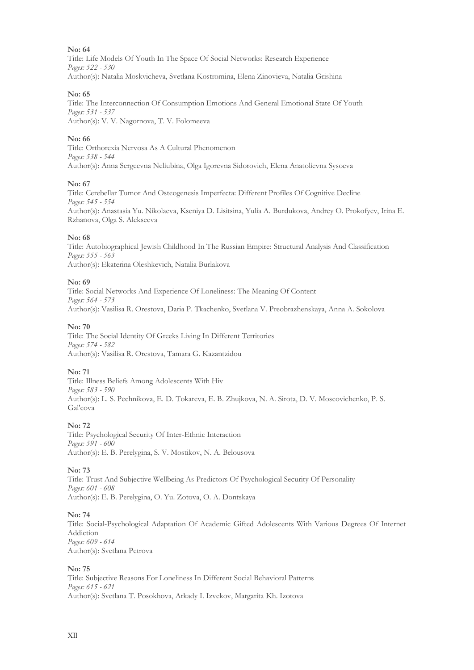Title: Life Models Of Youth In The Space Of Social Networks: Research Experience *Pages: 522 - 530* Author(s): Natalia Moskvicheva, Svetlana Kostromina, Elena Zinovieva, Natalia Grishina

### **No: 65**

Title: The Interconnection Of Consumption Emotions And General Emotional State Of Youth *Pages: 531 - 537* Author(s): V. V. Nagornova, T. V. Folomeeva

### **No: 66**

Title: Orthorexia Nervosa As A Cultural Phenomenon *Pages: 538 - 544* Author(s): Anna Sergeevna Neliubina, Olga Igorevna Sidorovich, Elena Anatolievna Sysoeva

#### **No: 67**

Title: Cerebellar Tumor And Osteogenesis Imperfecta: Different Profiles Of Cognitive Decline *Pages: 545 - 554* Author(s): Anastasia Yu. Nikolaeva, Kseniya D. Lisitsina, Yulia A. Burdukova, Andrey O. Prokofyev, Irina E. Rzhanova, Olga S. Alekseeva

#### **No: 68**

Title: Autobiographical Jewish Childhood In The Russian Empire: Structural Analysis And Classification *Pages: 555 - 563* Author(s): Ekaterina Oleshkevich, Natalia Burlakova

#### **No: 69**

Title: Social Networks And Experience Of Loneliness: The Meaning Of Content *Pages: 564 - 573* Author(s): Vasilisa R. Orestova, Daria P. Tkachenko, Svetlana V. Preobrazhenskaya, Anna A. Sokolova

#### **No: 70**

Title: The Social Identity Of Greeks Living In Different Territories *Pages: 574 - 582* Author(s): Vasilisa R. Orestova, Tamara G. Kazantzidou

# **No: 71**

Title: Illness Beliefs Among Adolescents With Hiv *Pages: 583 - 590* Author(s): L. S. Pechnikova, E. D. Tokareva, E. B. Zhujkova, N. A. Sirota, D. V. Moscovichenko, P. S. Gal'cova

# **No: 72**

Title: Psychological Security Of Inter-Ethnic Interaction *Pages: 591 - 600* Author(s): E. B. Perelygina, S. V. Mostikov, N. A. Belousova

#### **No: 73**

Title: Trust And Subjective Wellbeing As Predictors Of Psychological Security Of Personality *Pages: 601 - 608* Author(s): E. B. Perelygina, O. Yu. Zotova, O. A. Dontskaya

#### **No: 74**

Title: Social-Psychological Adaptation Of Academic Gifted Adolescents With Various Degrees Of Internet Addiction *Pages: 609 - 614* Author(s): Svetlana Petrova

#### **No: 75**

Title: Subjective Reasons For Loneliness In Different Social Behavioral Patterns *Pages: 615 - 621* Author(s): Svetlana T. Posokhova, Arkady I. Izvekov, Margarita Kh. Izotova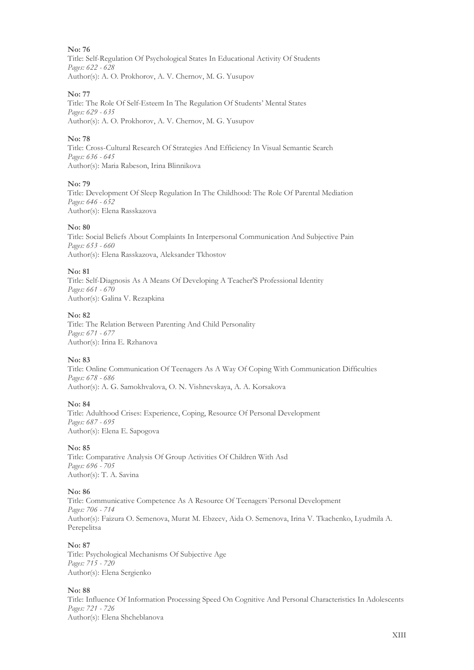Title: Self-Regulation Of Psychological States In Educational Activity Of Students *Pages: 622 - 628* Author(s): A. O. Prokhorov, A. V. Chernov, M. G. Yusupov

# **No: 77**

Title: The Role Of Self-Esteem In The Regulation Of Students' Mental States *Pages: 629 - 635* Author(s): A. O. Prokhorov, A. V. Chernov, M. G. Yusupov

# **No: 78**

Title: Cross-Cultural Research Of Strategies And Efficiency In Visual Semantic Search *Pages: 636 - 645* Author(s): Maria Rabeson, Irina Blinnikova

#### **No: 79**

Title: Development Of Sleep Regulation In The Childhood: The Role Of Parental Mediation *Pages: 646 - 652* Author(s): Elena Rasskazova

#### **No: 80**

Title: Social Beliefs About Complaints In Interpersonal Communication And Subjective Pain *Pages: 653 - 660* Author(s): Elena Rasskazova, Aleksander Tkhostov

#### **No: 81**

Title: Self-Diagnosis As A Means Of Developing A Teacher'S Professional Identity *Pages: 661 - 670* Author(s): Galina V. Rezapkina

#### **No: 82**

Title: The Relation Between Parenting And Child Personality *Pages: 671 - 677* Author(s): Irina E. Rzhanova

# **No: 83**

Title: Online Communication Of Teenagers As A Way Of Coping With Communication Difficulties *Pages: 678 - 686* Author(s): A. G. Samokhvalova, O. N. Vishnevskaya, A. A. Korsakova

#### **No: 84**

Title: Adulthood Crises: Experience, Coping, Resource Of Personal Development *Pages: 687 - 695* Author(s): Elena E. Sapogova

#### **No: 85**

Title: Comparative Analysis Of Group Activities Of Children With Asd *Pages: 696 - 705* Author(s): T. A. Savina

# **No: 86**

Title: Communicative Competence As A Resource Of Teenagers`Personal Development *Pages: 706 - 714* Author(s): Faizura O. Semenova, Murat M. Ebzeev, Aida O. Semenova, Irina V. Tkachenko, Lyudmila A. Perepelitsa

#### **No: 87**

Title: Psychological Mechanisms Of Subjective Age *Pages: 715 - 720* Author(s): Elena Sergienko

#### **No: 88**

Title: Influence Of Information Processing Speed On Cognitive And Personal Characteristics In Adolescents *Pages: 721 - 726* Author(s): Elena Shcheblanova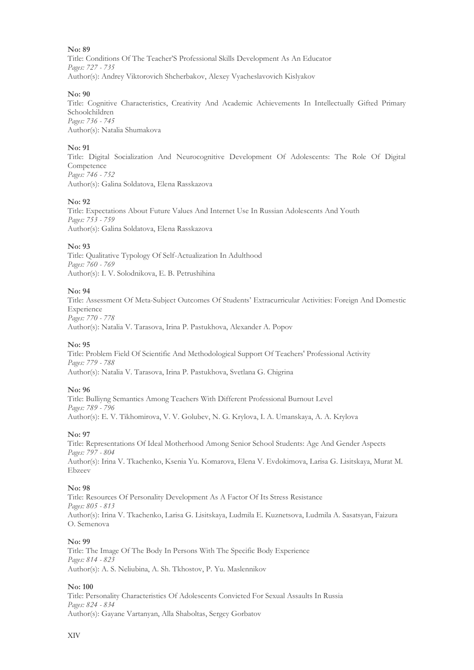Title: Conditions Of The Teacher'S Professional Skills Development As An Educator *Pages: 727 - 735* Author(s): Andrey Viktorovich Shcherbakov, Alexey Vyacheslavovich Kislyakov

#### **No: 90**

Title: Cognitive Characteristics, Creativity And Academic Achievements In Intellectually Gifted Primary Schoolchildren *Pages: 736 - 745* Author(s): Natalia Shumakova

#### **No: 91**

Title: Digital Socialization And Neurocognitive Development Of Adolescents: The Role Of Digital Competence *Pages: 746 - 752* Author(s): Galina Soldatova, Elena Rasskazova

#### **No: 92**

Title: Expectations About Future Values And Internet Use In Russian Adolescents And Youth *Pages: 753 - 759* Author(s): Galina Soldatova, Elena Rasskazova

#### **No: 93**

Title: Qualitative Typology Of Self-Actualization In Adulthood *Pages: 760 - 769* Author(s): I. V. Solodnikova, E. B. Petrushihina

#### **No: 94**

Title: Assessment Of Meta-Subject Outcomes Of Students' Extracurricular Activities: Foreign And Domestic Experience *Pages: 770 - 778* Author(s): Natalia V. Tarasova, Irina P. Pastukhova, Alexander A. Popov

#### **No: 95**

Title: Problem Field Of Scientific And Methodological Support Of Teachers' Professional Activity *Pages: 779 - 788* Author(s): Natalia V. Tarasova, Irina P. Pastukhova, Svetlana G. Chigrina

#### **No: 96**

Title: Bulliyng Semantics Among Teachers With Different Professional Burnout Level *Pages: 789 - 796* Author(s): E. V. Tikhomirova, V. V. Golubev, N. G. Krylova, I. A. Umanskaya, A. A. Krylova

#### **No: 97**

Title: Representations Of Ideal Motherhood Among Senior School Students: Age And Gender Aspects *Pages: 797 - 804* Author(s): Irina V. Tkachenko, Ksenia Yu. Komarova, Elena V. Evdokimova, Larisa G. Lisitskaya, Murat M. Ebzeev

#### **No: 98**

Title: Resources Of Personality Development As A Factor Of Its Stress Resistance *Pages: 805 - 813* Author(s): Irina V. Tkachenko, Larisa G. Lisitskaya, Ludmila E. Kuznetsova, Ludmila A. Sasatsyan, Faizura O. Semenova

#### **No: 99**

Title: The Image Of The Body In Persons With The Specific Body Experience *Pages: 814 - 823* Author(s): A. S. Neliubina, A. Sh. Tkhostov, P. Yu. Maslennikov

#### **No: 100**

Title: Personality Characteristics Of Adolescents Convicted For Sexual Assaults In Russia *Pages: 824 - 834* Author(s): Gayane Vartanyan, Alla Shaboltas, Sergey Gorbatov